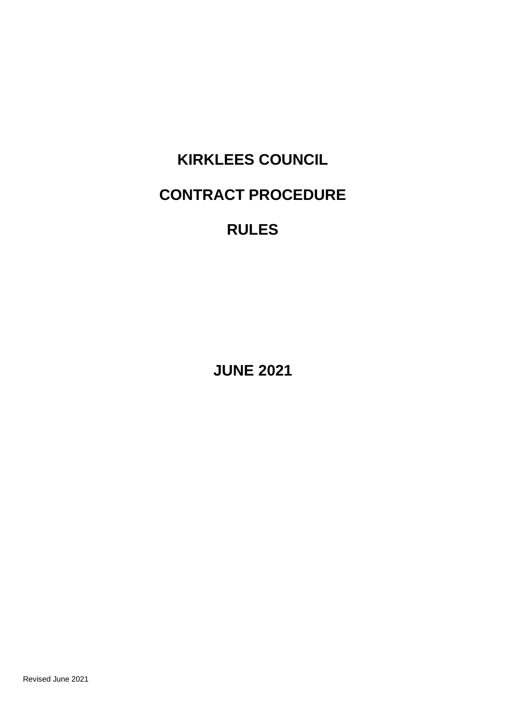# **KIRKLEES COUNCIL CONTRACT PROCEDURE**

# **RULES**

**JUNE 2021**

Revised June 2021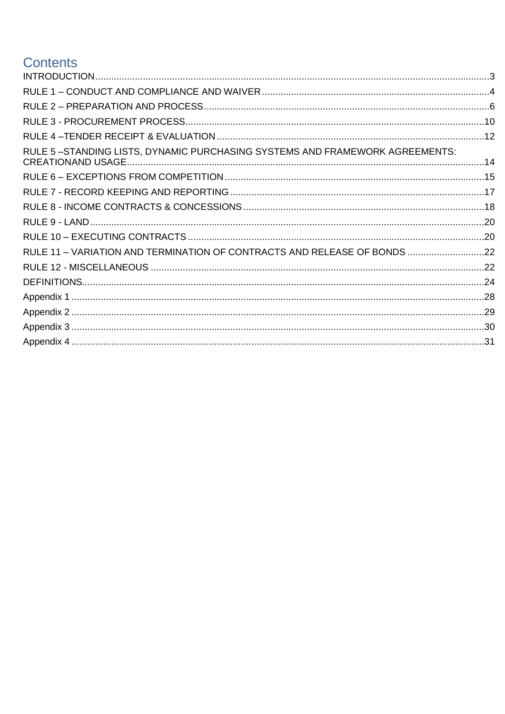# **Contents**

| RULE 5-STANDING LISTS, DYNAMIC PURCHASING SYSTEMS AND FRAMEWORK AGREEMENTS: |  |
|-----------------------------------------------------------------------------|--|
|                                                                             |  |
|                                                                             |  |
|                                                                             |  |
|                                                                             |  |
|                                                                             |  |
| RULE 11 - VARIATION AND TERMINATION OF CONTRACTS AND RELEASE OF BONDS 22    |  |
|                                                                             |  |
|                                                                             |  |
|                                                                             |  |
|                                                                             |  |
|                                                                             |  |
|                                                                             |  |
|                                                                             |  |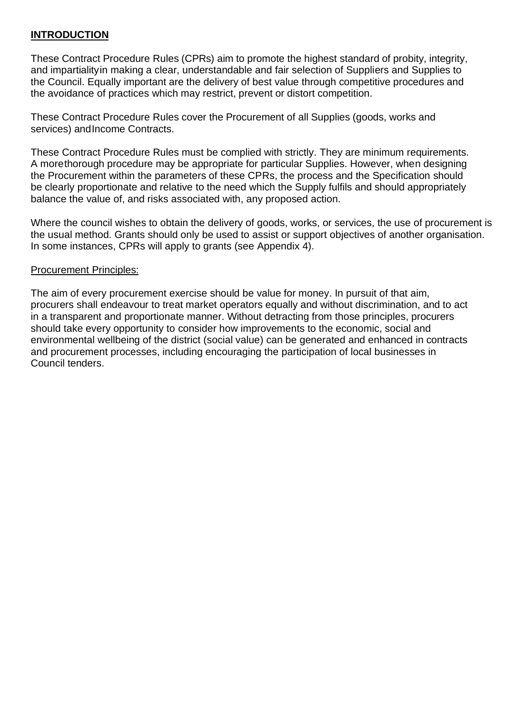# <span id="page-2-0"></span>**INTRODUCTION**

These Contract Procedure Rules (CPRs) aim to promote the highest standard of probity, integrity, and impartialityin making a clear, understandable and fair selection of Suppliers and Supplies to the Council. Equally important are the delivery of best value through competitive procedures and the avoidance of practices which may restrict, prevent or distort competition.

These Contract Procedure Rules cover the Procurement of all Supplies (goods, works and services) and Income Contracts.

These Contract Procedure Rules must be complied with strictly. They are minimum requirements. A morethorough procedure may be appropriate for particular Supplies. However, when designing the Procurement within the parameters of these CPRs, the process and the Specification should be clearly proportionate and relative to the need which the Supply fulfils and should appropriately balance the value of, and risks associated with, any proposed action.

Where the council wishes to obtain the delivery of goods, works, or services, the use of procurement is the usual method. Grants should only be used to assist or support objectives of another organisation. In some instances, CPRs will apply to grants (see [Appendix 4\)](#page-30-0).

#### Procurement Principles:

The aim of every procurement exercise should be value for money. In pursuit of that aim, procurers shall endeavour to treat market operators equally and without discrimination, and to act in a transparent and proportionate manner. Without detracting from those principles, procurers should take every opportunity to consider how improvements to the economic, social and environmental wellbeing of the district (social value) can be generated and enhanced in contracts and procurement processes, including encouraging the participation of local businesses in Council tenders.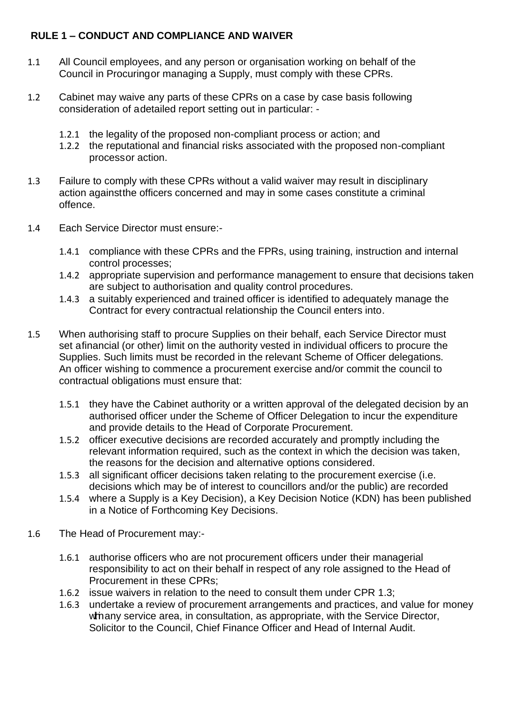# <span id="page-3-0"></span>**RULE 1 – CONDUCT AND COMPLIANCE AND WAIVER**

- 1.1 All Council employees, and any person or organisation working on behalf of the Council in Procuringor managing a Supply, must comply with these CPRs.
- 1.2 Cabinet may waive any parts of these CPRs on a case by case basis following consideration of adetailed report setting out in particular: -
	- 1.2.1 the legality of the proposed non-compliant process or action; and
	- 1.2.2 the reputational and financial risks associated with the proposed non-compliant processor action.
- <span id="page-3-1"></span>1.3 Failure to comply with these CPRs without a valid waiver may result in disciplinary action againstthe officers concerned and may in some cases constitute a criminal offence.
- 1.4 Each Service Director must ensure:-
	- 1.4.1 compliance with these CPRs and the FPRs, using training, instruction and internal control processes;
	- 1.4.2 appropriate supervision and performance management to ensure that decisions taken are subject to authorisation and quality control procedures.
	- 1.4.3 a suitably experienced and trained officer is identified to adequately manage the Contract for every contractual relationship the Council enters into.
- 1.5 When authorising staff to procure Supplies on their behalf, each Service Director must set afinancial (or other) limit on the authority vested in individual officers to procure the Supplies. Such limits must be recorded in the relevant Scheme of Officer delegations. An officer wishing to commence a procurement exercise and/or commit the council to contractual obligations must ensure that:
	- 1.5.1 they have the Cabinet authority or a written approval of the delegated decision by an authorised officer under the Scheme of Officer Delegation to incur the expenditure and provide details to the Head of Corporate Procurement.
	- 1.5.2 officer executive decisions are recorded accurately and promptly including the relevant information required, such as the context in which the decision was taken, the reasons for the decision and alternative options considered.
	- 1.5.3 all significant officer decisions taken relating to the procurement exercise (i.e. decisions which may be of interest to councillors and/or the public) are recorded
	- 1.5.4 where a Supply is a Key Decision), a Key Decision Notice (KDN) has been published in a Notice of Forthcoming Key Decisions.
- <span id="page-3-2"></span>1.6 The Head of Procurement may:-
	- 1.6.1 authorise officers who are not procurement officers under their managerial responsibility to act on their behalf in respect of any role assigned to the Head of Procurement in these CPRs;
	- 1.6.2 issue waivers in relation to the need to consult them under CPR [1.3;](#page-3-1)
	- 1.6.3 undertake a review of procurement arrangements and practices, and value for money withinany service area, in consultation, as appropriate, with the Service Director, Solicitor to the Council, Chief Finance Officer and Head of Internal Audit.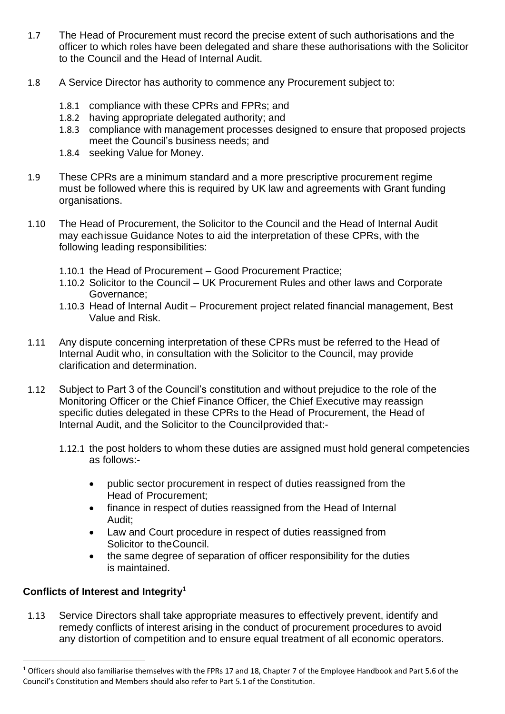- 1.7 The Head of Procurement must record the precise extent of such authorisations and the officer to which roles have been delegated and share these authorisations with the Solicitor to the Council and the Head of Internal Audit.
- 1.8 A Service Director has authority to commence any Procurement subject to:
	- 1.8.1 compliance with these CPRs and FPRs; and
	- 1.8.2 having appropriate delegated authority; and
	- 1.8.3 compliance with management processes designed to ensure that proposed projects meet the Council's business needs; and
	- 1.8.4 seeking Value for Money.
- 1.9 These CPRs are a minimum standard and a more prescriptive procurement regime must be followed where this is required by UK law and agreements with Grant funding organisations.
- 1.10 The Head of Procurement, the Solicitor to the Council and the Head of Internal Audit may eachissue Guidance Notes to aid the interpretation of these CPRs, with the following leading responsibilities:
	- 1.10.1 the Head of Procurement Good Procurement Practice;
	- 1.10.2 Solicitor to the Council UK Procurement Rules and other laws and Corporate Governance;
	- 1.10.3 Head of Internal Audit Procurement project related financial management, Best Value and Risk.
- <span id="page-4-0"></span>1.11 Any dispute concerning interpretation of these CPRs must be referred to the Head of Internal Audit who, in consultation with the Solicitor to the Council, may provide clarification and determination.
- 1.12 Subject to Part 3 of the Council's constitution and without prejudice to the role of the Monitoring Officer or the Chief Finance Officer, the Chief Executive may reassign specific duties delegated in these CPRs to the Head of Procurement, the Head of Internal Audit, and the Solicitor to the Councilprovided that:-
	- 1.12.1 the post holders to whom these duties are assigned must hold general competencies as follows:-
		- public sector procurement in respect of duties reassigned from the Head of Procurement;
		- finance in respect of duties reassigned from the Head of Internal Audit;
		- Law and Court procedure in respect of duties reassigned from Solicitor to theCouncil.
		- the same degree of separation of officer responsibility for the duties is maintained.

# **Conflicts of Interest and Integrity 1**

1.13 Service Directors shall take appropriate measures to effectively prevent, identify and remedy conflicts of interest arising in the conduct of procurement procedures to avoid any distortion of competition and to ensure equal treatment of all economic operators.

<sup>&</sup>lt;sup>1</sup> Officers should also familiarise themselves with the FPRs 17 and 18, Chapter 7 of the Employee Handbook and Part 5.6 of the Council's Constitution and Members should also refer to Part 5.1 of the Constitution.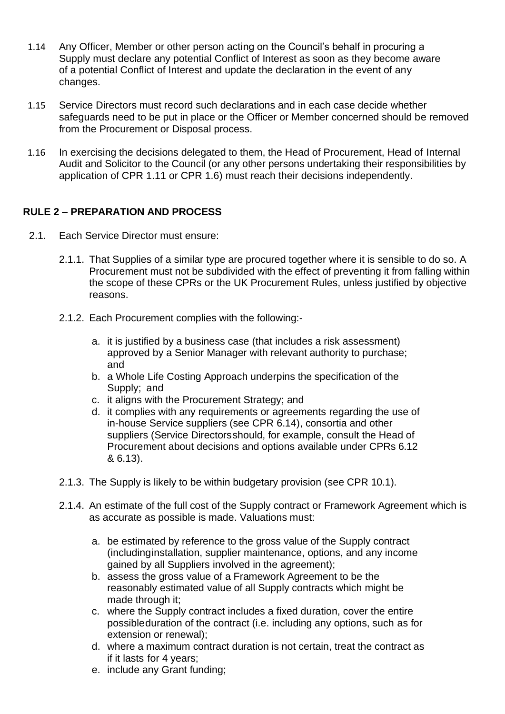- 1.14 Any Officer, Member or other person acting on the Council's behalf in procuring a Supply must declare any potential Conflict of Interest as soon as they become aware of a potential Conflict of Interest and update the declaration in the event of any changes.
- 1.15 Service Directors must record such declarations and in each case decide whether safeguards need to be put in place or the Officer or Member concerned should be removed from the Procurement or Disposal process.
- 1.16 In exercising the decisions delegated to them, the Head of Procurement, Head of Internal Audit and Solicitor to the Council (or any other persons undertaking their responsibilities by application of CPR [1.11](#page-4-0) or CPR [1.6\)](#page-3-2) must reach their decisions independently.

# <span id="page-5-0"></span>**RULE 2 – PREPARATION AND PROCESS**

- 2.1. Each Service Director must ensure:
	- 2.1.1. That Supplies of a similar type are procured together where it is sensible to do so. A Procurement must not be subdivided with the effect of preventing it from falling within the scope of these CPRs or the UK Procurement Rules, unless justified by objective reasons.
	- 2.1.2. Each Procurement complies with the following:
		- a. it is justified by a business case (that includes a risk assessment) approved by a Senior Manager with relevant authority to purchase; and
		- b. a Whole Life Costing Approach underpins the specification of the Supply; and
		- c. it aligns with the Procurement Strategy; and
		- d. it complies with any requirements or agreements regarding the use of in-house Service suppliers (see CPR [6.14\)](#page-16-1), consortia and other suppliers (Service Directorsshould, for example, consult the Head of Procurement about decisions and options available under CPRs [6.12](#page-16-2) & [6.13\)](#page-16-3).
	- 2.1.3. The Supply is likely to be within budgetary provision (see CPR [10.1\)](#page-19-2).
	- 2.1.4. An estimate of the full cost of the Supply contract or Framework Agreement which is as accurate as possible is made. Valuations must:
		- a. be estimated by reference to the gross value of the Supply contract (includinginstallation, supplier maintenance, options, and any income gained by all Suppliers involved in the agreement);
		- b. assess the gross value of a Framework Agreement to be the reasonably estimated value of all Supply contracts which might be made through it:
		- c. where the Supply contract includes a fixed duration, cover the entire possibleduration of the contract (i.e. including any options, such as for extension or renewal);
		- d. where a maximum contract duration is not certain, treat the contract as if it lasts for 4 years;
		- e. include any Grant funding;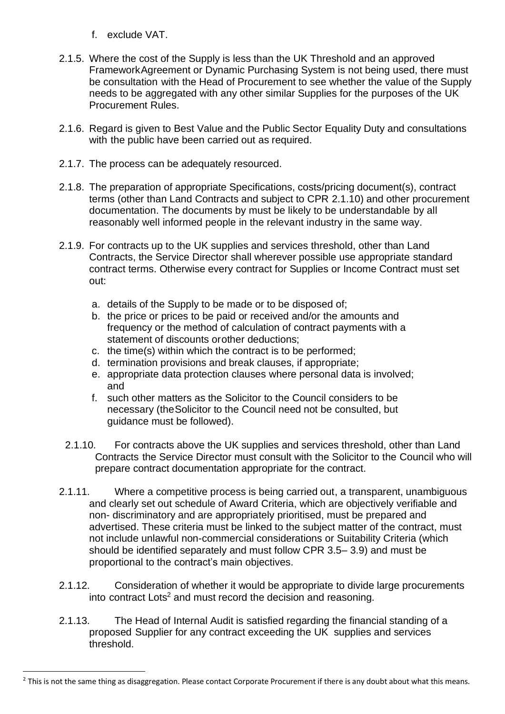- f. exclude VAT.
- 2.1.5. Where the cost of the Supply is less than the UK Threshold and an approved FrameworkAgreement or Dynamic Purchasing System is not being used, there must be consultation with the Head of Procurement to see whether the value of the Supply needs to be aggregated with any other similar Supplies for the purposes of the UK Procurement Rules.
- 2.1.6. Regard is given to Best Value and the Public Sector Equality Duty and consultations with the public have been carried out as required.
- 2.1.7. The process can be adequately resourced.
- 2.1.8. The preparation of appropriate Specifications, costs/pricing document(s), contract terms (other than Land Contracts and subject to CPR [2.1.10\)](#page-6-0) and other procurement documentation. The documents by must be likely to be understandable by all reasonably well informed people in the relevant industry in the same way.
- 2.1.9. For contracts up to the UK supplies and services threshold, other than Land Contracts, the Service Director shall wherever possible use appropriate standard contract terms. Otherwise every contract for Supplies or Income Contract must set out:
	- a. details of the Supply to be made or to be disposed of;
	- b. the price or prices to be paid or received and/or the amounts and frequency or the method of calculation of contract payments with a statement of discounts orother deductions;
	- c. the time(s) within which the contract is to be performed;
	- d. termination provisions and break clauses, if appropriate;
	- e. appropriate data protection clauses where personal data is involved; and
	- f. such other matters as the Solicitor to the Council considers to be necessary (theSolicitor to the Council need not be consulted, but guidance must be followed).
- <span id="page-6-0"></span>2.1.10. For contracts above the UK supplies and services threshold, other than Land Contracts the Service Director must consult with the Solicitor to the Council who will prepare contract documentation appropriate for the contract.
- <span id="page-6-1"></span>2.1.11. Where a competitive process is being carried out, a transparent, unambiguous and clearly set out schedule of Award Criteria, which are objectively verifiable and non- discriminatory and are appropriately prioritised, must be prepared and advertised. These criteria must be linked to the subject matter of the contract, must not include unlawful non-commercial considerations or Suitability Criteria (which should be identified separately and must follow CPR [3.5–](#page-10-0) [3.9\)](#page-10-1) and must be proportional to the contract's main objectives.
- 2.1.12. Consideration of whether it would be appropriate to divide large procurements into contract Lots<sup>2</sup> and must record the decision and reasoning.
- 2.1.13. The Head of Internal Audit is satisfied regarding the financial standing of a proposed Supplier for any contract exceeding the UK supplies and services threshold.

<sup>&</sup>lt;sup>2</sup> This is not the same thing as disaggregation. Please contact Corporate Procurement if there is any doubt about what this means.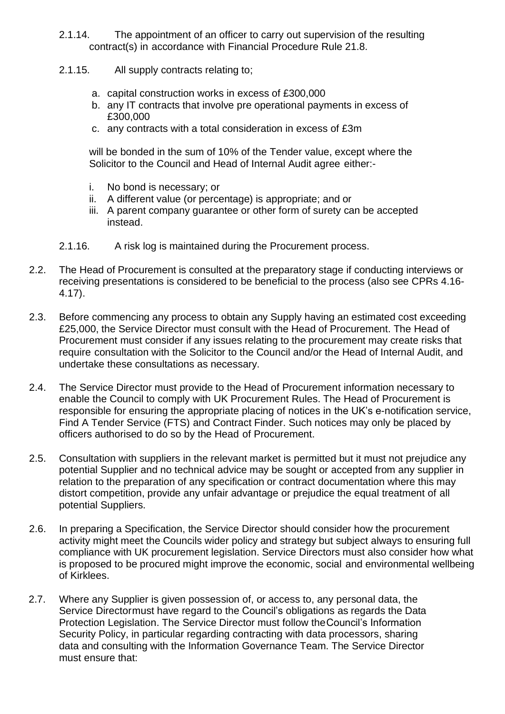- 2.1.14. The appointment of an officer to carry out supervision of the resulting contract(s) in accordance with Financial Procedure Rule 21.8.
- 2.1.15. All supply contracts relating to;
	- a. capital construction works in excess of £300,000
	- b. any IT contracts that involve pre operational payments in excess of £300,000
	- c. any contracts with a total consideration in excess of £3m

will be bonded in the sum of 10% of the Tender value, except where the Solicitor to the Council and Head of Internal Audit agree either:-

- i. No bond is necessary; or
- ii. A different value (or percentage) is appropriate; and or
- iii. A parent company guarantee or other form of surety can be accepted instead.
- 2.1.16. A risk log is maintained during the Procurement process.
- 2.2. The Head of Procurement is consulted at the preparatory stage if conducting interviews or receiving presentations is considered to be beneficial to the process (also see CPRs [4.16-](#page-12-0) [4.17\)](#page-12-1).
- 2.3. Before commencing any process to obtain any Supply having an estimated cost exceeding £25,000, the Service Director must consult with the Head of Procurement. The Head of Procurement must consider if any issues relating to the procurement may create risks that require consultation with the Solicitor to the Council and/or the Head of Internal Audit, and undertake these consultations as necessary.
- 2.4. The Service Director must provide to the Head of Procurement information necessary to enable the Council to comply with UK Procurement Rules. The Head of Procurement is responsible for ensuring the appropriate placing of notices in the UK's e-notification service, Find A Tender Service (FTS) and Contract Finder. Such notices may only be placed by officers authorised to do so by the Head of Procurement.
- 2.5. Consultation with suppliers in the relevant market is permitted but it must not prejudice any potential Supplier and no technical advice may be sought or accepted from any supplier in relation to the preparation of any specification or contract documentation where this may distort competition, provide any unfair advantage or prejudice the equal treatment of all potential Suppliers.
- 2.6. In preparing a Specification, the Service Director should consider how the procurement activity might meet the Councils wider policy and strategy but subject always to ensuring full compliance with UK procurement legislation. Service Directors must also consider how what is proposed to be procured might improve the economic, social and environmental wellbeing of Kirklees.
- 2.7. Where any Supplier is given possession of, or access to, any personal data, the Service Directormust have regard to the Council's obligations as regards the Data Protection Legislation. The Service Director must follow theCouncil's Information Security Policy, in particular regarding contracting with data processors, sharing data and consulting with the Information Governance Team. The Service Director must ensure that: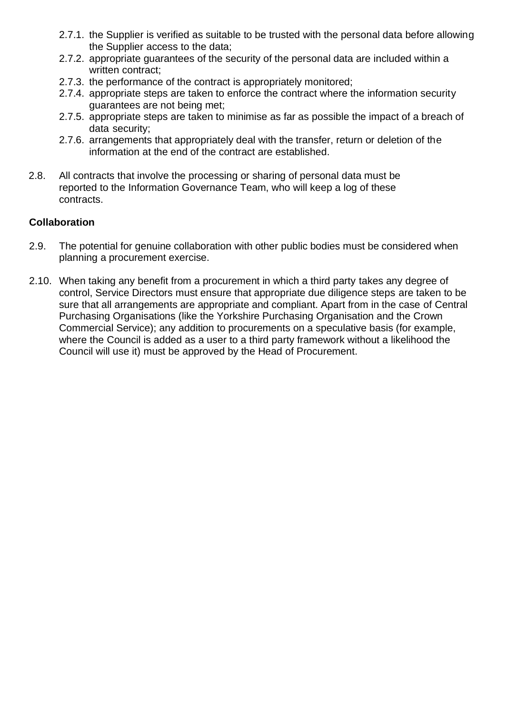- 2.7.1. the Supplier is verified as suitable to be trusted with the personal data before allowing the Supplier access to the data;
- 2.7.2. appropriate guarantees of the security of the personal data are included within a written contract:
- 2.7.3. the performance of the contract is appropriately monitored;
- 2.7.4. appropriate steps are taken to enforce the contract where the information security guarantees are not being met;
- 2.7.5. appropriate steps are taken to minimise as far as possible the impact of a breach of data security;
- 2.7.6. arrangements that appropriately deal with the transfer, return or deletion of the information at the end of the contract are established.
- 2.8. All contracts that involve the processing or sharing of personal data must be reported to the Information Governance Team, who will keep a log of these contracts.

#### **Collaboration**

- 2.9. The potential for genuine collaboration with other public bodies must be considered when planning a procurement exercise.
- 2.10. When taking any benefit from a procurement in which a third party takes any degree of control, Service Directors must ensure that appropriate due diligence steps are taken to be sure that all arrangements are appropriate and compliant. Apart from in the case of Central Purchasing Organisations (like the Yorkshire Purchasing Organisation and the Crown Commercial Service); any addition to procurements on a speculative basis (for example, where the Council is added as a user to a third party framework without a likelihood the Council will use it) must be approved by the Head of Procurement.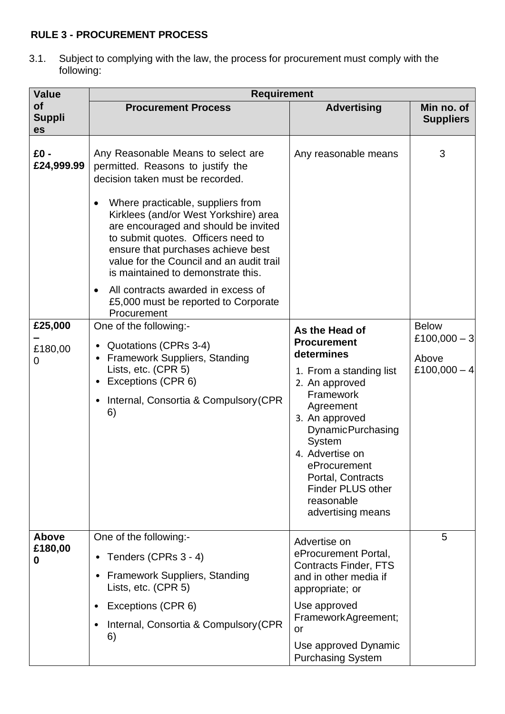# <span id="page-9-0"></span>**RULE 3 - PROCUREMENT PROCESS**

3.1. Subject to complying with the law, the process for procurement must comply with the following:

| <b>Value</b>                                               | <b>Requirement</b>                                                                                                                                                                                                                                                                                                                                                                                                                                                                                                                                                                                                                                                                                                 |                                                                                                                                                                                                                                                                                                                                  |                                                              |
|------------------------------------------------------------|--------------------------------------------------------------------------------------------------------------------------------------------------------------------------------------------------------------------------------------------------------------------------------------------------------------------------------------------------------------------------------------------------------------------------------------------------------------------------------------------------------------------------------------------------------------------------------------------------------------------------------------------------------------------------------------------------------------------|----------------------------------------------------------------------------------------------------------------------------------------------------------------------------------------------------------------------------------------------------------------------------------------------------------------------------------|--------------------------------------------------------------|
| <b>of</b><br><b>Suppli</b><br>es                           | <b>Procurement Process</b>                                                                                                                                                                                                                                                                                                                                                                                                                                                                                                                                                                                                                                                                                         | <b>Advertising</b>                                                                                                                                                                                                                                                                                                               | Min no. of<br><b>Suppliers</b>                               |
| £0 -<br>£24,999.99<br>£25,000<br>£180,00<br>$\overline{0}$ | Any Reasonable Means to select are<br>permitted. Reasons to justify the<br>decision taken must be recorded.<br>Where practicable, suppliers from<br>Kirklees (and/or West Yorkshire) area<br>are encouraged and should be invited<br>to submit quotes. Officers need to<br>ensure that purchases achieve best<br>value for the Council and an audit trail<br>is maintained to demonstrate this.<br>All contracts awarded in excess of<br>$\bullet$<br>£5,000 must be reported to Corporate<br>Procurement<br>One of the following:-<br>Quotations (CPRs 3-4)<br><b>Framework Suppliers, Standing</b><br>Lists, etc. (CPR 5)<br>Exceptions (CPR 6)<br>٠<br>Internal, Consortia & Compulsory (CPR<br>$\bullet$<br>6) | Any reasonable means<br>As the Head of<br><b>Procurement</b><br>determines<br>1. From a standing list<br>2. An approved<br>Framework<br>Agreement<br>3. An approved<br><b>DynamicPurchasing</b><br>System<br>4. Advertise on<br>eProcurement<br>Portal, Contracts<br><b>Finder PLUS other</b><br>reasonable<br>advertising means | 3<br><b>Below</b><br>£100,000 $-3$<br>Above<br>£100,000 $-4$ |
| Above<br>£180,00<br>0                                      | One of the following:-<br>Tenders (CPRs 3 - 4)<br>$\bullet$<br><b>Framework Suppliers, Standing</b><br>$\bullet$<br>Lists, etc. (CPR 5)<br>Exceptions (CPR 6)<br>٠<br>Internal, Consortia & Compulsory (CPR<br>$\bullet$<br>6)                                                                                                                                                                                                                                                                                                                                                                                                                                                                                     | Advertise on<br>eProcurement Portal,<br><b>Contracts Finder, FTS</b><br>and in other media if<br>appropriate; or<br>Use approved<br>FrameworkAgreement;<br>or<br>Use approved Dynamic<br><b>Purchasing System</b>                                                                                                                | 5                                                            |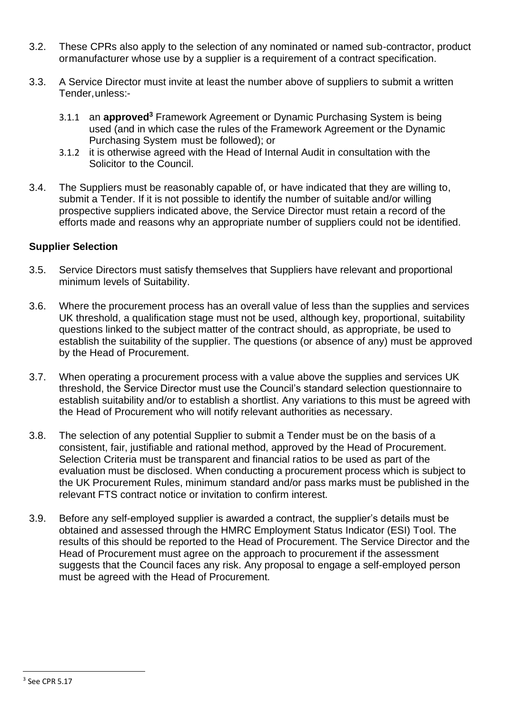- 3.2. These CPRs also apply to the selection of any nominated or named sub-contractor, product ormanufacturer whose use by a supplier is a requirement of a contract specification.
- 3.3. A Service Director must invite at least the number above of suppliers to submit a written Tender,unless:-
	- 3.1.1 an **approved<sup>3</sup>** Framework Agreement or Dynamic Purchasing System is being used (and in which case the rules of the Framework Agreement or the Dynamic Purchasing System must be followed); or
	- 3.1.2 it is otherwise agreed with the Head of Internal Audit in consultation with the Solicitor to the Council.
- 3.4. The Suppliers must be reasonably capable of, or have indicated that they are willing to, submit a Tender. If it is not possible to identify the number of suitable and/or willing prospective suppliers indicated above, the Service Director must retain a record of the efforts made and reasons why an appropriate number of suppliers could not be identified.

#### **Supplier Selection**

- <span id="page-10-0"></span>3.5. Service Directors must satisfy themselves that Suppliers have relevant and proportional minimum levels of Suitability.
- 3.6. Where the procurement process has an overall value of less than the supplies and services UK threshold, a qualification stage must not be used, although key, proportional, suitability questions linked to the subject matter of the contract should, as appropriate, be used to establish the suitability of the supplier. The questions (or absence of any) must be approved by the Head of Procurement.
- 3.7. When operating a procurement process with a value above the supplies and services UK threshold, the Service Director must use the Council's standard selection questionnaire to establish suitability and/or to establish a shortlist. Any variations to this must be agreed with the Head of Procurement who will notify relevant authorities as necessary.
- 3.8. The selection of any potential Supplier to submit a Tender must be on the basis of a consistent, fair, justifiable and rational method, approved by the Head of Procurement. Selection Criteria must be transparent and financial ratios to be used as part of the evaluation must be disclosed. When conducting a procurement process which is subject to the UK Procurement Rules, minimum standard and/or pass marks must be published in the relevant FTS contract notice or invitation to confirm interest.
- <span id="page-10-1"></span>3.9. Before any self-employed supplier is awarded a contract, the supplier's details must be obtained and assessed through the HMRC Employment Status Indicator (ESI) Tool. The results of this should be reported to the Head of Procurement. The Service Director and the Head of Procurement must agree on the approach to procurement if the assessment suggests that the Council faces any risk. Any proposal to engage a self-employed person must be agreed with the Head of Procurement.

 $3$  See CPR [5.17](#page-14-1)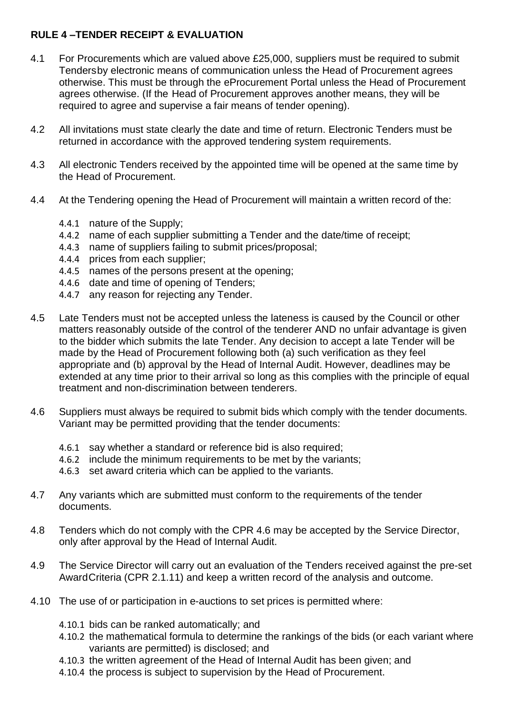# <span id="page-11-0"></span>**RULE 4 –TENDER RECEIPT & EVALUATION**

- 4.1 For Procurements which are valued above £25,000, suppliers must be required to submit Tendersby electronic means of communication unless the Head of Procurement agrees otherwise. This must be through the eProcurement Portal unless the Head of Procurement agrees otherwise. (If the Head of Procurement approves another means, they will be required to agree and supervise a fair means of tender opening).
- 4.2 All invitations must state clearly the date and time of return. Electronic Tenders must be returned in accordance with the approved tendering system requirements.
- 4.3 All electronic Tenders received by the appointed time will be opened at the same time by the Head of Procurement.
- 4.4 At the Tendering opening the Head of Procurement will maintain a written record of the:
	- 4.4.1 nature of the Supply;
	- 4.4.2 name of each supplier submitting a Tender and the date/time of receipt;
	- 4.4.3 name of suppliers failing to submit prices/proposal;
	- 4.4.4 prices from each supplier;
	- 4.4.5 names of the persons present at the opening;
	- 4.4.6 date and time of opening of Tenders;
	- 4.4.7 any reason for rejecting any Tender.
- 4.5 Late Tenders must not be accepted unless the lateness is caused by the Council or other matters reasonably outside of the control of the tenderer AND no unfair advantage is given to the bidder which submits the late Tender. Any decision to accept a late Tender will be made by the Head of Procurement following both (a) such verification as they feel appropriate and (b) approval by the Head of Internal Audit. However, deadlines may be extended at any time prior to their arrival so long as this complies with the principle of equal treatment and non-discrimination between tenderers.
- <span id="page-11-1"></span>4.6 Suppliers must always be required to submit bids which comply with the tender documents. Variant may be permitted providing that the tender documents:
	- 4.6.1 say whether a standard or reference bid is also required;
	- 4.6.2 include the minimum requirements to be met by the variants;
	- 4.6.3 set award criteria which can be applied to the variants.
- 4.7 Any variants which are submitted must conform to the requirements of the tender documents.
- 4.8 Tenders which do not comply with the CPR [4.6](#page-11-1) may be accepted by the Service Director, only after approval by the Head of Internal Audit.
- 4.9 The Service Director will carry out an evaluation of the Tenders received against the pre-set AwardCriteria (CPR [2.1.11\)](#page-6-1) and keep a written record of the analysis and outcome.
- 4.10 The use of or participation in e-auctions to set prices is permitted where:
	- 4.10.1 bids can be ranked automatically; and
	- 4.10.2 the mathematical formula to determine the rankings of the bids (or each variant where variants are permitted) is disclosed; and
	- 4.10.3 the written agreement of the Head of Internal Audit has been given; and
	- 4.10.4 the process is subject to supervision by the Head of Procurement.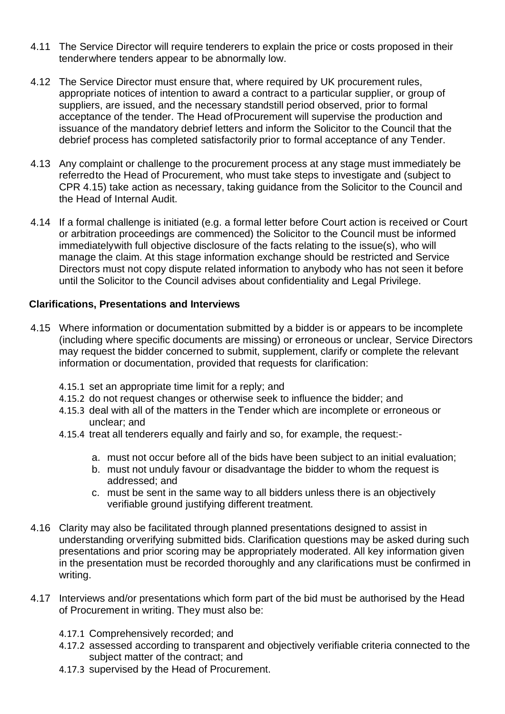- 4.11 The Service Director will require tenderers to explain the price or costs proposed in their tenderwhere tenders appear to be abnormally low.
- 4.12 The Service Director must ensure that, where required by UK procurement rules, appropriate notices of intention to award a contract to a particular supplier, or group of suppliers, are issued, and the necessary standstill period observed, prior to formal acceptance of the tender. The Head ofProcurement will supervise the production and issuance of the mandatory debrief letters and inform the Solicitor to the Council that the debrief process has completed satisfactorily prior to formal acceptance of any Tender.
- 4.13 Any complaint or challenge to the procurement process at any stage must immediately be referredto the Head of Procurement, who must take steps to investigate and (subject to CPR [4.15\)](#page-12-2) take action as necessary, taking guidance from the Solicitor to the Council and the Head of Internal Audit.
- 4.14 If a formal challenge is initiated (e.g. a formal letter before Court action is received or Court or arbitration proceedings are commenced) the Solicitor to the Council must be informed immediatelywith full objective disclosure of the facts relating to the issue(s), who will manage the claim. At this stage information exchange should be restricted and Service Directors must not copy dispute related information to anybody who has not seen it before until the Solicitor to the Council advises about confidentiality and Legal Privilege.

#### **Clarifications, Presentations and Interviews**

- <span id="page-12-2"></span>4.15 Where information or documentation submitted by a bidder is or appears to be incomplete (including where specific documents are missing) or erroneous or unclear, Service Directors may request the bidder concerned to submit, supplement, clarify or complete the relevant information or documentation, provided that requests for clarification:
	- 4.15.1 set an appropriate time limit for a reply; and
	- 4.15.2 do not request changes or otherwise seek to influence the bidder; and
	- 4.15.3 deal with all of the matters in the Tender which are incomplete or erroneous or unclear; and
	- 4.15.4 treat all tenderers equally and fairly and so, for example, the request:
		- a. must not occur before all of the bids have been subject to an initial evaluation;
		- b. must not unduly favour or disadvantage the bidder to whom the request is addressed; and
		- c. must be sent in the same way to all bidders unless there is an objectively verifiable ground justifying different treatment.
- <span id="page-12-0"></span>4.16 Clarity may also be facilitated through planned presentations designed to assist in understanding orverifying submitted bids. Clarification questions may be asked during such presentations and prior scoring may be appropriately moderated. All key information given in the presentation must be recorded thoroughly and any clarifications must be confirmed in writing.
- <span id="page-12-1"></span>4.17 Interviews and/or presentations which form part of the bid must be authorised by the Head of Procurement in writing. They must also be:
	- 4.17.1 Comprehensively recorded; and
	- 4.17.2 assessed according to transparent and objectively verifiable criteria connected to the subject matter of the contract; and
	- 4.17.3 supervised by the Head of Procurement.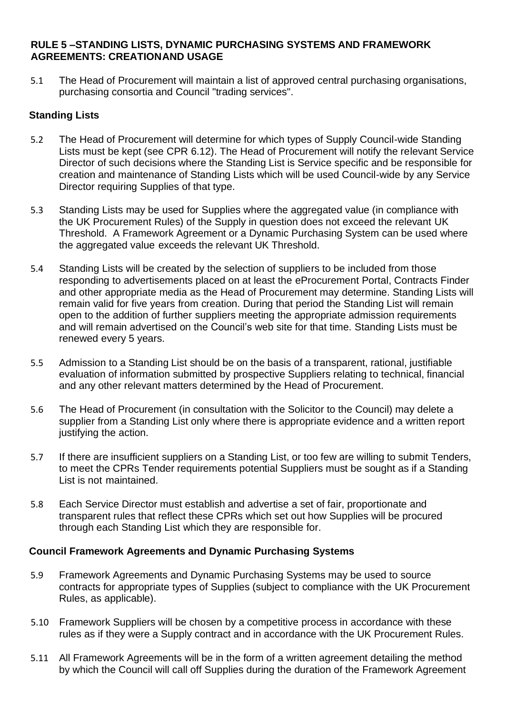#### <span id="page-13-0"></span>**RULE 5 –STANDING LISTS, DYNAMIC PURCHASING SYSTEMS AND FRAMEWORK AGREEMENTS: CREATIONAND USAGE**

<span id="page-13-1"></span>5.1 The Head of Procurement will maintain a list of approved central purchasing organisations, purchasing consortia and Council "trading services".

# **Standing Lists**

- 5.2 The Head of Procurement will determine for which types of Supply Council-wide Standing Lists must be kept (see CPR [6.12\)](#page-16-2). The Head of Procurement will notify the relevant Service Director of such decisions where the Standing List is Service specific and be responsible for creation and maintenance of Standing Lists which will be used Council-wide by any Service Director requiring Supplies of that type.
- 5.3 Standing Lists may be used for Supplies where the aggregated value (in compliance with the UK Procurement Rules) of the Supply in question does not exceed the relevant UK Threshold. A Framework Agreement or a Dynamic Purchasing System can be used where the aggregated value exceeds the relevant UK Threshold.
- 5.4 Standing Lists will be created by the selection of suppliers to be included from those responding to advertisements placed on at least the eProcurement Portal, Contracts Finder and other appropriate media as the Head of Procurement may determine. Standing Lists will remain valid for five years from creation. During that period the Standing List will remain open to the addition of further suppliers meeting the appropriate admission requirements and will remain advertised on the Council's web site for that time. Standing Lists must be renewed every 5 years.
- 5.5 Admission to a Standing List should be on the basis of a transparent, rational, justifiable evaluation of information submitted by prospective Suppliers relating to technical, financial and any other relevant matters determined by the Head of Procurement.
- 5.6 The Head of Procurement (in consultation with the Solicitor to the Council) may delete a supplier from a Standing List only where there is appropriate evidence and a written report justifying the action.
- 5.7 If there are insufficient suppliers on a Standing List, or too few are willing to submit Tenders, to meet the CPRs Tender requirements potential Suppliers must be sought as if a Standing List is not maintained.
- 5.8 Each Service Director must establish and advertise a set of fair, proportionate and transparent rules that reflect these CPRs which set out how Supplies will be procured through each Standing List which they are responsible for.

#### **Council Framework Agreements and Dynamic Purchasing Systems**

- 5.9 Framework Agreements and Dynamic Purchasing Systems may be used to source contracts for appropriate types of Supplies (subject to compliance with the UK Procurement Rules, as applicable).
- 5.10 Framework Suppliers will be chosen by a competitive process in accordance with these rules as if they were a Supply contract and in accordance with the UK Procurement Rules.
- 5.11 All Framework Agreements will be in the form of a written agreement detailing the method by which the Council will call off Supplies during the duration of the Framework Agreement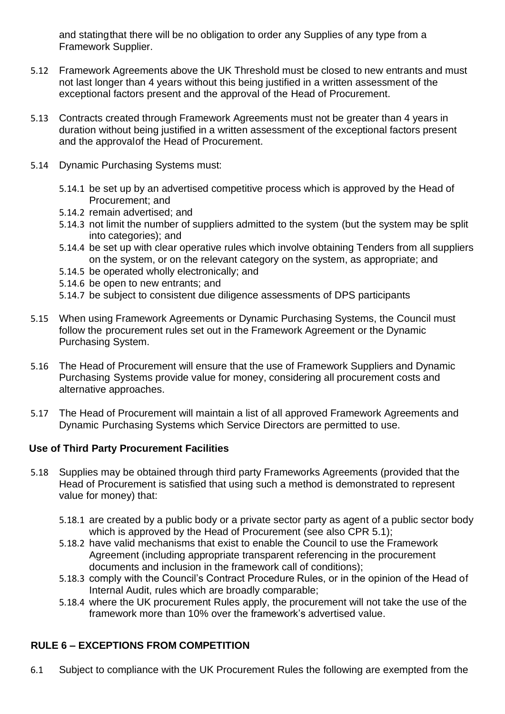and statingthat there will be no obligation to order any Supplies of any type from a Framework Supplier.

- 5.12 Framework Agreements above the UK Threshold must be closed to new entrants and must not last longer than 4 years without this being justified in a written assessment of the exceptional factors present and the approval of the Head of Procurement.
- 5.13 Contracts created through Framework Agreements must not be greater than 4 years in duration without being justified in a written assessment of the exceptional factors present and the approvalof the Head of Procurement.
- 5.14 Dynamic Purchasing Systems must:
	- 5.14.1 be set up by an advertised competitive process which is approved by the Head of Procurement; and
	- 5.14.2 remain advertised; and
	- 5.14.3 not limit the number of suppliers admitted to the system (but the system may be split into categories); and
	- 5.14.4 be set up with clear operative rules which involve obtaining Tenders from all suppliers on the system, or on the relevant category on the system, as appropriate; and
	- 5.14.5 be operated wholly electronically; and
	- 5.14.6 be open to new entrants; and
	- 5.14.7 be subject to consistent due diligence assessments of DPS participants
- 5.15 When using Framework Agreements or Dynamic Purchasing Systems, the Council must follow the procurement rules set out in the Framework Agreement or the Dynamic Purchasing System.
- 5.16 The Head of Procurement will ensure that the use of Framework Suppliers and Dynamic Purchasing Systems provide value for money, considering all procurement costs and alternative approaches.
- <span id="page-14-1"></span>5.17 The Head of Procurement will maintain a list of all approved Framework Agreements and Dynamic Purchasing Systems which Service Directors are permitted to use.

# **Use of Third Party Procurement Facilities**

- <span id="page-14-2"></span>5.18 Supplies may be obtained through third party Frameworks Agreements (provided that the Head of Procurement is satisfied that using such a method is demonstrated to represent value for money) that:
	- 5.18.1 are created by a public body or a private sector party as agent of a public sector body which is approved by the Head of Procurement (see also CPR [5.1\)](#page-13-1);
	- 5.18.2 have valid mechanisms that exist to enable the Council to use the Framework Agreement (including appropriate transparent referencing in the procurement documents and inclusion in the framework call of conditions);
	- 5.18.3 comply with the Council's Contract Procedure Rules, or in the opinion of the Head of Internal Audit, rules which are broadly comparable;
	- 5.18.4 where the UK procurement Rules apply, the procurement will not take the use of the framework more than 10% over the framework's advertised value.

# <span id="page-14-0"></span>**RULE 6 – EXCEPTIONS FROM COMPETITION**

<span id="page-14-3"></span>6.1 Subject to compliance with the UK Procurement Rules the following are exempted from the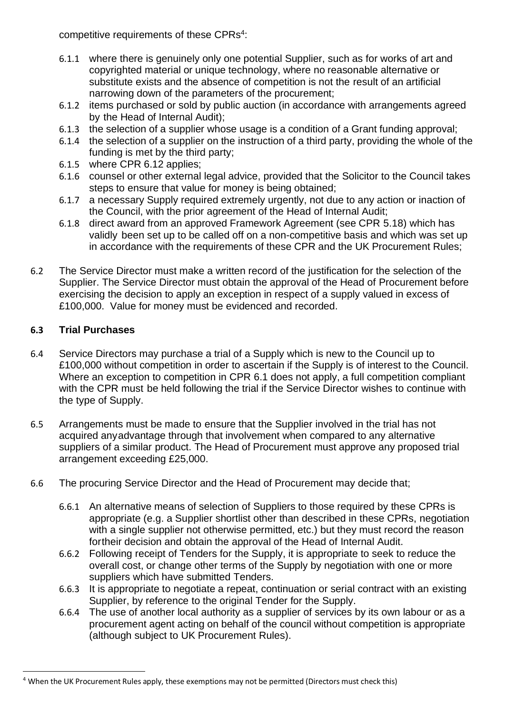competitive requirements of these CPRs<sup>4</sup>:

- 6.1.1 where there is genuinely only one potential Supplier, such as for works of art and copyrighted material or unique technology, where no reasonable alternative or substitute exists and the absence of competition is not the result of an artificial narrowing down of the parameters of the procurement;
- 6.1.2 items purchased or sold by public auction (in accordance with arrangements agreed by the Head of Internal Audit);
- 6.1.3 the selection of a supplier whose usage is a condition of a Grant funding approval;
- 6.1.4 the selection of a supplier on the instruction of a third party, providing the whole of the funding is met by the third party;
- 6.1.5 where CPR [6.12](#page-16-2) applies;
- 6.1.6 counsel or other external legal advice, provided that the Solicitor to the Council takes steps to ensure that value for money is being obtained;
- 6.1.7 a necessary Supply required extremely urgently, not due to any action or inaction of the Council, with the prior agreement of the Head of Internal Audit;
- 6.1.8 direct award from an approved Framework Agreement (see CPR [5.18\)](#page-14-2) which has validly been set up to be called off on a non-competitive basis and which was set up in accordance with the requirements of these CPR and the UK Procurement Rules;
- 6.2 The Service Director must make a written record of the justification for the selection of the Supplier. The Service Director must obtain the approval of the Head of Procurement before exercising the decision to apply an exception in respect of a supply valued in excess of £100,000. Value for money must be evidenced and recorded.

# <span id="page-15-0"></span>**6.3 Trial Purchases**

- 6.4 Service Directors may purchase a trial of a Supply which is new to the Council up to £100,000 without competition in order to ascertain if the Supply is of interest to the Council. Where an exception to competition in CPR [6.1](#page-14-3) does not apply, a full competition compliant with the CPR must be held following the trial if the Service Director wishes to continue with the type of Supply.
- 6.5 Arrangements must be made to ensure that the Supplier involved in the trial has not acquired anyadvantage through that involvement when compared to any alternative suppliers of a similar product. The Head of Procurement must approve any proposed trial arrangement exceeding £25,000.
- 6.6 The procuring Service Director and the Head of Procurement may decide that;
	- 6.6.1 An alternative means of selection of Suppliers to those required by these CPRs is appropriate (e.g. a Supplier shortlist other than described in these CPRs, negotiation with a single supplier not otherwise permitted, etc.) but they must record the reason fortheir decision and obtain the approval of the Head of Internal Audit.
	- 6.6.2 Following receipt of Tenders for the Supply, it is appropriate to seek to reduce the overall cost, or change other terms of the Supply by negotiation with one or more suppliers which have submitted Tenders.
	- 6.6.3 It is appropriate to negotiate a repeat, continuation or serial contract with an existing Supplier, by reference to the original Tender for the Supply.
	- 6.6.4 The use of another local authority as a supplier of services by its own labour or as a procurement agent acting on behalf of the council without competition is appropriate (although subject to UK Procurement Rules).

<sup>4</sup> When the UK Procurement Rules apply, these exemptions may not be permitted (Directors must check this)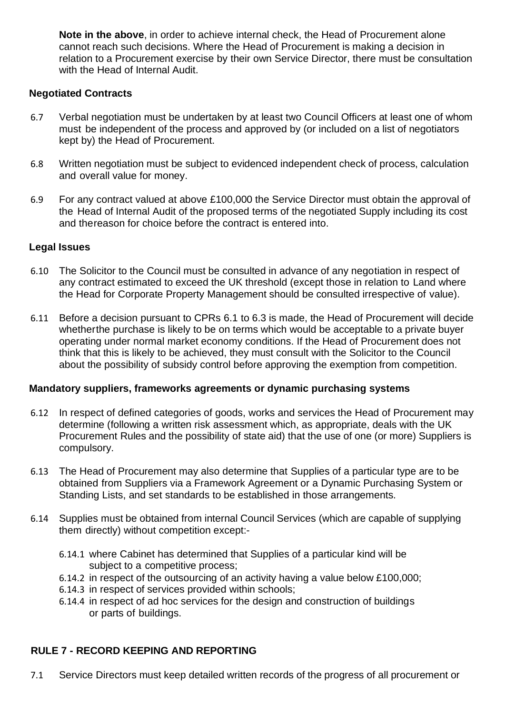**Note in the above**, in order to achieve internal check, the Head of Procurement alone cannot reach such decisions. Where the Head of Procurement is making a decision in relation to a Procurement exercise by their own Service Director, there must be consultation with the Head of Internal Audit.

#### **Negotiated Contracts**

- 6.7 Verbal negotiation must be undertaken by at least two Council Officers at least one of whom must be independent of the process and approved by (or included on a list of negotiators kept by) the Head of Procurement.
- 6.8 Written negotiation must be subject to evidenced independent check of process, calculation and overall value for money.
- 6.9 For any contract valued at above £100,000 the Service Director must obtain the approval of the Head of Internal Audit of the proposed terms of the negotiated Supply including its cost and thereason for choice before the contract is entered into.

#### **Legal Issues**

- 6.10 The Solicitor to the Council must be consulted in advance of any negotiation in respect of any contract estimated to exceed the UK threshold (except those in relation to Land where the Head for Corporate Property Management should be consulted irrespective of value).
- 6.11 Before a decision pursuant to CPRs [6.1](#page-14-3) to [6.3](#page-15-0) is made, the Head of Procurement will decide whetherthe purchase is likely to be on terms which would be acceptable to a private buyer operating under normal market economy conditions. If the Head of Procurement does not think that this is likely to be achieved, they must consult with the Solicitor to the Council about the possibility of subsidy control before approving the exemption from competition.

#### **Mandatory suppliers, frameworks agreements or dynamic purchasing systems**

- <span id="page-16-2"></span>6.12 In respect of defined categories of goods, works and services the Head of Procurement may determine (following a written risk assessment which, as appropriate, deals with the UK Procurement Rules and the possibility of state aid) that the use of one (or more) Suppliers is compulsory.
- <span id="page-16-3"></span>6.13 The Head of Procurement may also determine that Supplies of a particular type are to be obtained from Suppliers via a Framework Agreement or a Dynamic Purchasing System or Standing Lists, and set standards to be established in those arrangements.
- <span id="page-16-1"></span>6.14 Supplies must be obtained from internal Council Services (which are capable of supplying them directly) without competition except:-
	- 6.14.1 where Cabinet has determined that Supplies of a particular kind will be subject to a competitive process:
	- 6.14.2 in respect of the outsourcing of an activity having a value below £100,000;
	- 6.14.3 in respect of services provided within schools;
	- 6.14.4 in respect of ad hoc services for the design and construction of buildings or parts of buildings.

# <span id="page-16-0"></span>**RULE 7 - RECORD KEEPING AND REPORTING**

7.1 Service Directors must keep detailed written records of the progress of all procurement or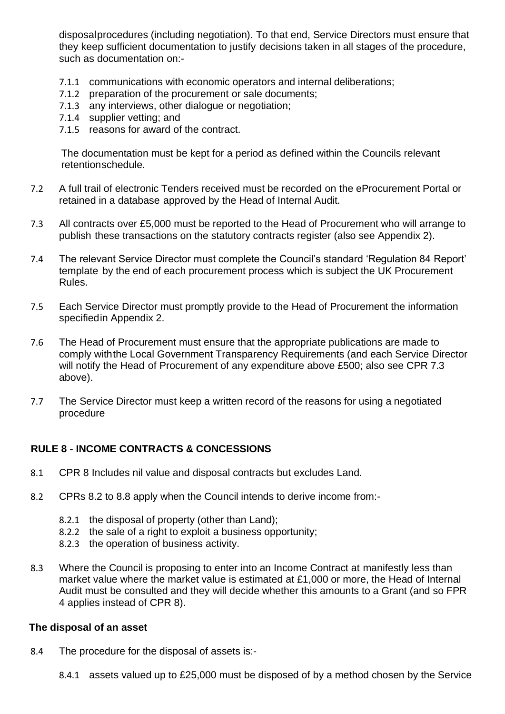disposalprocedures (including negotiation). To that end, Service Directors must ensure that they keep sufficient documentation to justify decisions taken in all stages of the procedure, such as documentation on:-

- 7.1.1 communications with economic operators and internal deliberations;
- 7.1.2 preparation of the procurement or sale documents;
- 7.1.3 any interviews, other dialogue or negotiation;
- 7.1.4 supplier vetting; and
- 7.1.5 reasons for award of the contract.

The documentation must be kept for a period as defined within the Councils relevant retentionschedule.

- 7.2 A full trail of electronic Tenders received must be recorded on the eProcurement Portal or retained in a database approved by the Head of Internal Audit.
- <span id="page-17-1"></span>7.3 All contracts over £5,000 must be reported to the Head of Procurement who will arrange to publish these transactions on the statutory contracts register (also see [Appendix](#page-28-0) 2).
- 7.4 The relevant Service Director must complete the Council's standard 'Regulation 84 Report' template by the end of each procurement process which is subject the UK Procurement Rules.
- 7.5 Each Service Director must promptly provide to the Head of Procurement the information specifiedin [Appendix](#page-28-0) 2.
- 7.6 The Head of Procurement must ensure that the appropriate publications are made to comply withthe Local Government Transparency Requirements (and each Service Director will notify the Head of Procurement of any expenditure above £500; also see CPR [7.3](#page-17-1) above).
- 7.7 The Service Director must keep a written record of the reasons for using a negotiated procedure

#### <span id="page-17-0"></span>**RULE 8 - INCOME CONTRACTS & CONCESSIONS**

- 8.1 CPR 8 Includes nil value and disposal contracts but excludes Land.
- <span id="page-17-2"></span>8.2 CPRs [8.2](#page-17-2) to [8.8](#page-18-0) apply when the Council intends to derive income from:-
	- 8.2.1 the disposal of property (other than Land);
	- 8.2.2 the sale of a right to exploit a business opportunity;
	- 8.2.3 the operation of business activity.
- 8.3 Where the Council is proposing to enter into an Income Contract at manifestly less than market value where the market value is estimated at £1,000 or more, the Head of Internal Audit must be consulted and they will decide whether this amounts to a Grant (and so FPR 4 applies instead of CPR 8).

#### **The disposal of an asset**

- 8.4 The procedure for the disposal of assets is:-
	- 8.4.1 assets valued up to £25,000 must be disposed of by a method chosen by the Service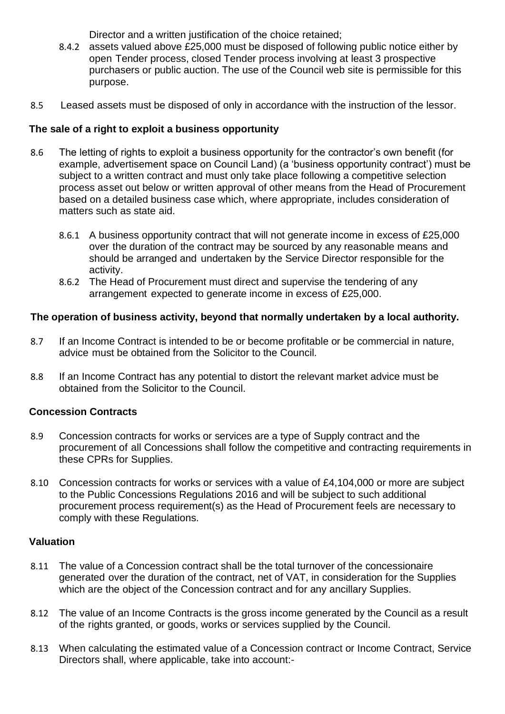Director and a written justification of the choice retained;

- 8.4.2 assets valued above £25,000 must be disposed of following public notice either by open Tender process, closed Tender process involving at least 3 prospective purchasers or public auction. The use of the Council web site is permissible for this purpose.
- 8.5 Leased assets must be disposed of only in accordance with the instruction of the lessor.

# **The sale of a right to exploit a business opportunity**

- 8.6 The letting of rights to exploit a business opportunity for the contractor's own benefit (for example, advertisement space on Council Land) (a 'business opportunity contract') must be subject to a written contract and must only take place following a competitive selection process asset out below or written approval of other means from the Head of Procurement based on a detailed business case which, where appropriate, includes consideration of matters such as state aid.
	- 8.6.1 A business opportunity contract that will not generate income in excess of £25,000 over the duration of the contract may be sourced by any reasonable means and should be arranged and undertaken by the Service Director responsible for the activity.
	- 8.6.2 The Head of Procurement must direct and supervise the tendering of any arrangement expected to generate income in excess of £25,000.

# **The operation of business activity, beyond that normally undertaken by a local authority.**

- 8.7 If an Income Contract is intended to be or become profitable or be commercial in nature, advice must be obtained from the Solicitor to the Council.
- <span id="page-18-0"></span>8.8 If an Income Contract has any potential to distort the relevant market advice must be obtained from the Solicitor to the Council.

# **Concession Contracts**

- 8.9 Concession contracts for works or services are a type of Supply contract and the procurement of all Concessions shall follow the competitive and contracting requirements in these CPRs for Supplies.
- 8.10 Concession contracts for works or services with a value of £4,104,000 or more are subject to the Public Concessions Regulations 2016 and will be subject to such additional procurement process requirement(s) as the Head of Procurement feels are necessary to comply with these Regulations.

# **Valuation**

- 8.11 The value of a Concession contract shall be the total turnover of the concessionaire generated over the duration of the contract, net of VAT, in consideration for the Supplies which are the object of the Concession contract and for any ancillary Supplies.
- 8.12 The value of an Income Contracts is the gross income generated by the Council as a result of the rights granted, or goods, works or services supplied by the Council.
- 8.13 When calculating the estimated value of a Concession contract or Income Contract, Service Directors shall, where applicable, take into account:-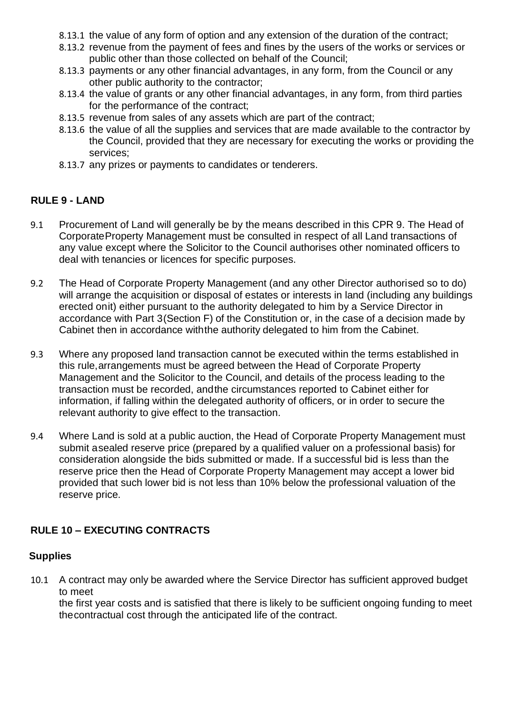- 8.13.1 the value of any form of option and any extension of the duration of the contract;
- 8.13.2 revenue from the payment of fees and fines by the users of the works or services or public other than those collected on behalf of the Council;
- 8.13.3 payments or any other financial advantages, in any form, from the Council or any other public authority to the contractor;
- 8.13.4 the value of grants or any other financial advantages, in any form, from third parties for the performance of the contract;
- 8.13.5 revenue from sales of any assets which are part of the contract;
- 8.13.6 the value of all the supplies and services that are made available to the contractor by the Council, provided that they are necessary for executing the works or providing the services;
- 8.13.7 any prizes or payments to candidates or tenderers.

# <span id="page-19-0"></span>**RULE 9 - LAND**

- <span id="page-19-3"></span>9.1 Procurement of Land will generally be by the means described in this CPR 9. The Head of CorporateProperty Management must be consulted in respect of all Land transactions of any value except where the Solicitor to the Council authorises other nominated officers to deal with tenancies or licences for specific purposes.
- 9.2 The Head of Corporate Property Management (and any other Director authorised so to do) will arrange the acquisition or disposal of estates or interests in land (including any buildings erected onit) either pursuant to the authority delegated to him by a Service Director in accordance with Part 3(Section F) of the Constitution or, in the case of a decision made by Cabinet then in accordance withthe authority delegated to him from the Cabinet.
- 9.3 Where any proposed land transaction cannot be executed within the terms established in this rule,arrangements must be agreed between the Head of Corporate Property Management and the Solicitor to the Council, and details of the process leading to the transaction must be recorded, andthe circumstances reported to Cabinet either for information, if falling within the delegated authority of officers, or in order to secure the relevant authority to give effect to the transaction.
- 9.4 Where Land is sold at a public auction, the Head of Corporate Property Management must submit asealed reserve price (prepared by a qualified valuer on a professional basis) for consideration alongside the bids submitted or made. If a successful bid is less than the reserve price then the Head of Corporate Property Management may accept a lower bid provided that such lower bid is not less than 10% below the professional valuation of the reserve price.

# <span id="page-19-1"></span>**RULE 10 – EXECUTING CONTRACTS**

# **Supplies**

<span id="page-19-2"></span>10.1 A contract may only be awarded where the Service Director has sufficient approved budget to meet

the first year costs and is satisfied that there is likely to be sufficient ongoing funding to meet thecontractual cost through the anticipated life of the contract.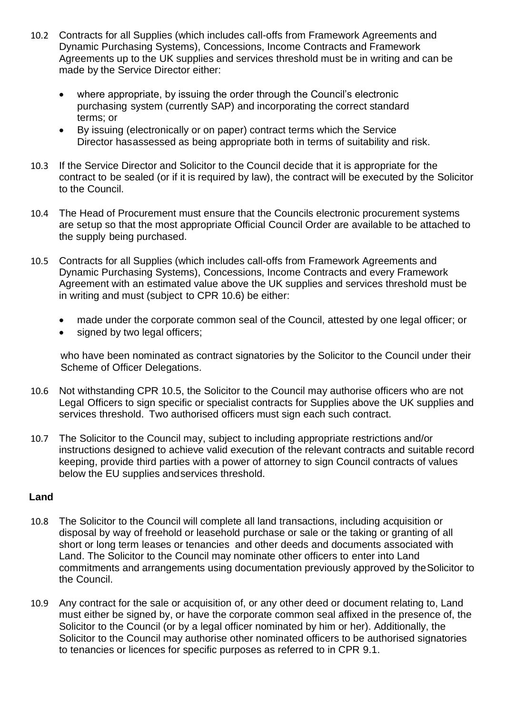- 10.2 Contracts for all Supplies (which includes call-offs from Framework Agreements and Dynamic Purchasing Systems), Concessions, Income Contracts and Framework Agreements up to the UK supplies and services threshold must be in writing and can be made by the Service Director either:
	- where appropriate, by issuing the order through the Council's electronic purchasing system (currently SAP) and incorporating the correct standard terms; or
	- By issuing (electronically or on paper) contract terms which the Service Director hasassessed as being appropriate both in terms of suitability and risk.
- 10.3 If the Service Director and Solicitor to the Council decide that it is appropriate for the contract to be sealed (or if it is required by law), the contract will be executed by the Solicitor to the Council.
- 10.4 The Head of Procurement must ensure that the Councils electronic procurement systems are setup so that the most appropriate Official Council Order are available to be attached to the supply being purchased.
- <span id="page-20-1"></span>10.5 Contracts for all Supplies (which includes call-offs from Framework Agreements and Dynamic Purchasing Systems), Concessions, Income Contracts and every Framework Agreement with an estimated value above the UK supplies and services threshold must be in writing and must (subject to CPR [10.6\)](#page-20-0) be either:
	- made under the corporate common seal of the Council, attested by one legal officer; or
	- signed by two legal officers;

who have been nominated as contract signatories by the Solicitor to the Council under their Scheme of Officer Delegations.

- <span id="page-20-0"></span>10.6 Not withstanding CPR [10.5,](#page-20-1) the Solicitor to the Council may authorise officers who are not Legal Officers to sign specific or specialist contracts for Supplies above the UK supplies and services threshold. Two authorised officers must sign each such contract.
- 10.7 The Solicitor to the Council may, subject to including appropriate restrictions and/or instructions designed to achieve valid execution of the relevant contracts and suitable record keeping, provide third parties with a power of attorney to sign Council contracts of values below the EU supplies andservices threshold.

#### **Land**

- 10.8 The Solicitor to the Council will complete all land transactions, including acquisition or disposal by way of freehold or leasehold purchase or sale or the taking or granting of all short or long term leases or tenancies and other deeds and documents associated with Land. The Solicitor to the Council may nominate other officers to enter into Land commitments and arrangements using documentation previously approved by theSolicitor to the Council.
- 10.9 Any contract for the sale or acquisition of, or any other deed or document relating to, Land must either be signed by, or have the corporate common seal affixed in the presence of, the Solicitor to the Council (or by a legal officer nominated by him or her). Additionally, the Solicitor to the Council may authorise other nominated officers to be authorised signatories to tenancies or licences for specific purposes as referred to in CPR [9.1.](#page-19-3)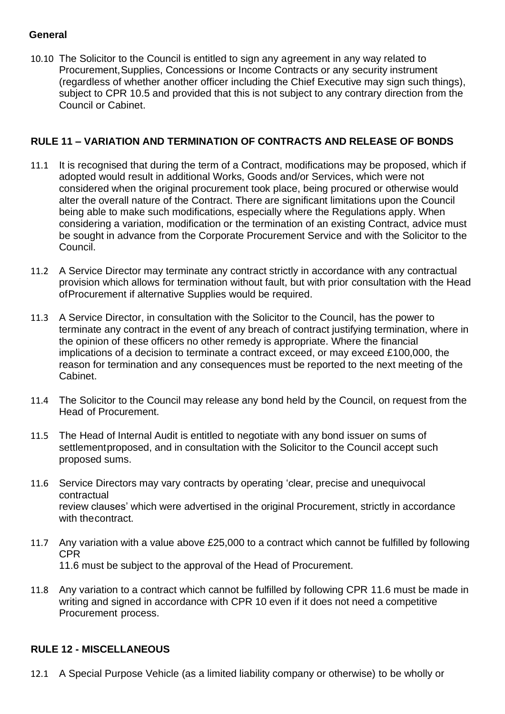#### **General**

10.10 The Solicitor to the Council is entitled to sign any agreement in any way related to Procurement,Supplies, Concessions or Income Contracts or any security instrument (regardless of whether another officer including the Chief Executive may sign such things), subject to CPR [10.5](#page-20-1) and provided that this is not subject to any contrary direction from the Council or Cabinet.

# <span id="page-21-0"></span>**RULE 11 – VARIATION AND TERMINATION OF CONTRACTS AND RELEASE OF BONDS**

- 11.1 It is recognised that during the term of a Contract, modifications may be proposed, which if adopted would result in additional Works, Goods and/or Services, which were not considered when the original procurement took place, being procured or otherwise would alter the overall nature of the Contract. There are significant limitations upon the Council being able to make such modifications, especially where the Regulations apply. When considering a variation, modification or the termination of an existing Contract, advice must be sought in advance from the Corporate Procurement Service and with the Solicitor to the Council.
- 11.2 A Service Director may terminate any contract strictly in accordance with any contractual provision which allows for termination without fault, but with prior consultation with the Head ofProcurement if alternative Supplies would be required.
- 11.3 A Service Director, in consultation with the Solicitor to the Council, has the power to terminate any contract in the event of any breach of contract justifying termination, where in the opinion of these officers no other remedy is appropriate. Where the financial implications of a decision to terminate a contract exceed, or may exceed £100,000, the reason for termination and any consequences must be reported to the next meeting of the Cabinet.
- 11.4 The Solicitor to the Council may release any bond held by the Council, on request from the Head of Procurement.
- 11.5 The Head of Internal Audit is entitled to negotiate with any bond issuer on sums of settlementproposed, and in consultation with the Solicitor to the Council accept such proposed sums.
- <span id="page-21-2"></span>11.6 Service Directors may vary contracts by operating 'clear, precise and unequivocal contractual review clauses' which were advertised in the original Procurement, strictly in accordance with thecontract.
- 11.7 Any variation with a value above £25,000 to a contract which cannot be fulfilled by following CPR [11.6](#page-21-2) must be subject to the approval of the Head of Procurement.
- 11.8 Any variation to a contract which cannot be fulfilled by following CPR [11.6](#page-21-2) must be made in writing and signed in accordance with CPR 10 even if it does not need a competitive Procurement process.

# <span id="page-21-1"></span>**RULE 12 - MISCELLANEOUS**

12.1 A Special Purpose Vehicle (as a limited liability company or otherwise) to be wholly or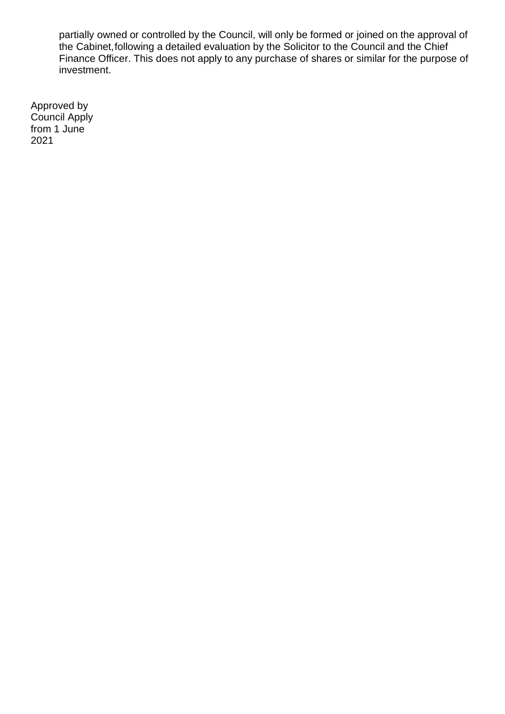partially owned or controlled by the Council, will only be formed or joined on the approval of the Cabinet,following a detailed evaluation by the Solicitor to the Council and the Chief Finance Officer. This does not apply to any purchase of shares or similar for the purpose of investment.

Approved by Council Apply from 1 June 2021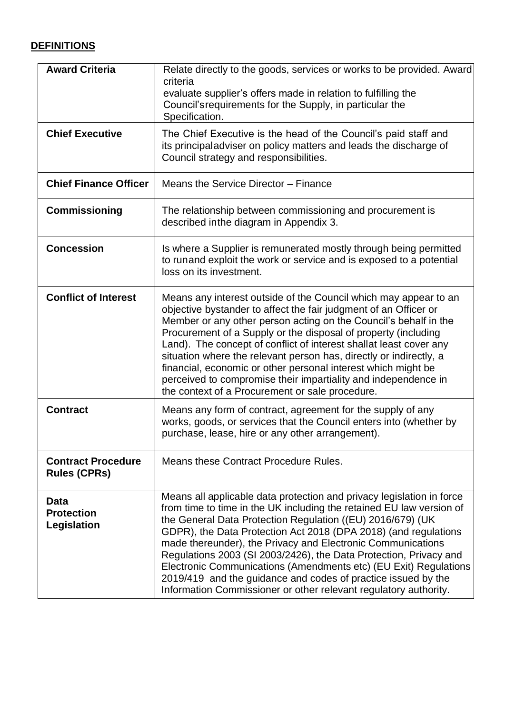# <span id="page-23-0"></span>**DEFINITIONS**

| <b>Award Criteria</b>                            | Relate directly to the goods, services or works to be provided. Award<br>criteria<br>evaluate supplier's offers made in relation to fulfilling the<br>Council's requirements for the Supply, in particular the<br>Specification.                                                                                                                                                                                                                                                                                                                                                                                            |
|--------------------------------------------------|-----------------------------------------------------------------------------------------------------------------------------------------------------------------------------------------------------------------------------------------------------------------------------------------------------------------------------------------------------------------------------------------------------------------------------------------------------------------------------------------------------------------------------------------------------------------------------------------------------------------------------|
| <b>Chief Executive</b>                           | The Chief Executive is the head of the Council's paid staff and<br>its principaladviser on policy matters and leads the discharge of<br>Council strategy and responsibilities.                                                                                                                                                                                                                                                                                                                                                                                                                                              |
| <b>Chief Finance Officer</b>                     | Means the Service Director - Finance                                                                                                                                                                                                                                                                                                                                                                                                                                                                                                                                                                                        |
| <b>Commissioning</b>                             | The relationship between commissioning and procurement is<br>described in the diagram in Appendix 3.                                                                                                                                                                                                                                                                                                                                                                                                                                                                                                                        |
| <b>Concession</b>                                | Is where a Supplier is remunerated mostly through being permitted<br>to runand exploit the work or service and is exposed to a potential<br>loss on its investment.                                                                                                                                                                                                                                                                                                                                                                                                                                                         |
| <b>Conflict of Interest</b>                      | Means any interest outside of the Council which may appear to an<br>objective bystander to affect the fair judgment of an Officer or<br>Member or any other person acting on the Council's behalf in the<br>Procurement of a Supply or the disposal of property (including<br>Land). The concept of conflict of interest shallat least cover any<br>situation where the relevant person has, directly or indirectly, a<br>financial, economic or other personal interest which might be<br>perceived to compromise their impartiality and independence in<br>the context of a Procurement or sale procedure.                |
| <b>Contract</b>                                  | Means any form of contract, agreement for the supply of any<br>works, goods, or services that the Council enters into (whether by<br>purchase, lease, hire or any other arrangement).                                                                                                                                                                                                                                                                                                                                                                                                                                       |
| <b>Contract Procedure</b><br><b>Rules (CPRs)</b> | Means these Contract Procedure Rules.                                                                                                                                                                                                                                                                                                                                                                                                                                                                                                                                                                                       |
| Data<br><b>Protection</b><br>Legislation         | Means all applicable data protection and privacy legislation in force<br>from time to time in the UK including the retained EU law version of<br>the General Data Protection Regulation ((EU) 2016/679) (UK<br>GDPR), the Data Protection Act 2018 (DPA 2018) (and regulations<br>made thereunder), the Privacy and Electronic Communications<br>Regulations 2003 (SI 2003/2426), the Data Protection, Privacy and<br>Electronic Communications (Amendments etc) (EU Exit) Regulations<br>2019/419 and the guidance and codes of practice issued by the<br>Information Commissioner or other relevant regulatory authority. |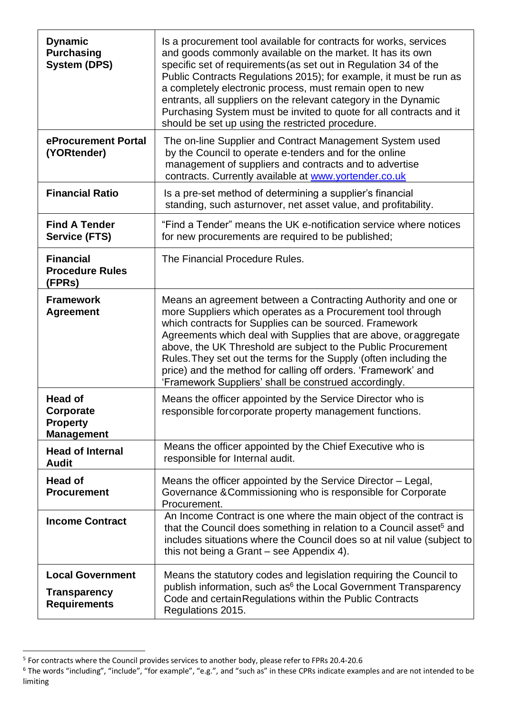| <b>Dynamic</b><br><b>Purchasing</b><br><b>System (DPS)</b>                 | Is a procurement tool available for contracts for works, services<br>and goods commonly available on the market. It has its own<br>specific set of requirements (as set out in Regulation 34 of the<br>Public Contracts Regulations 2015); for example, it must be run as<br>a completely electronic process, must remain open to new<br>entrants, all suppliers on the relevant category in the Dynamic<br>Purchasing System must be invited to quote for all contracts and it<br>should be set up using the restricted procedure. |
|----------------------------------------------------------------------------|-------------------------------------------------------------------------------------------------------------------------------------------------------------------------------------------------------------------------------------------------------------------------------------------------------------------------------------------------------------------------------------------------------------------------------------------------------------------------------------------------------------------------------------|
| eProcurement Portal<br>(YORtender)                                         | The on-line Supplier and Contract Management System used<br>by the Council to operate e-tenders and for the online<br>management of suppliers and contracts and to advertise<br>contracts. Currently available at www.yortender.co.uk                                                                                                                                                                                                                                                                                               |
| <b>Financial Ratio</b>                                                     | Is a pre-set method of determining a supplier's financial<br>standing, such asturnover, net asset value, and profitability.                                                                                                                                                                                                                                                                                                                                                                                                         |
| <b>Find A Tender</b><br><b>Service (FTS)</b>                               | "Find a Tender" means the UK e-notification service where notices<br>for new procurements are required to be published;                                                                                                                                                                                                                                                                                                                                                                                                             |
| <b>Financial</b><br><b>Procedure Rules</b><br>(FPRs)                       | The Financial Procedure Rules.                                                                                                                                                                                                                                                                                                                                                                                                                                                                                                      |
| <b>Framework</b><br><b>Agreement</b>                                       | Means an agreement between a Contracting Authority and one or<br>more Suppliers which operates as a Procurement tool through<br>which contracts for Supplies can be sourced. Framework<br>Agreements which deal with Supplies that are above, or aggregate<br>above, the UK Threshold are subject to the Public Procurement<br>Rules. They set out the terms for the Supply (often including the<br>price) and the method for calling off orders. 'Framework' and<br>'Framework Suppliers' shall be construed accordingly.          |
| <b>Head of</b><br><b>Corporate</b><br><b>Property</b><br><b>Management</b> | Means the officer appointed by the Service Director who is<br>responsible for corporate property management functions.                                                                                                                                                                                                                                                                                                                                                                                                              |
| <b>Head of Internal</b><br><b>Audit</b>                                    | Means the officer appointed by the Chief Executive who is<br>responsible for Internal audit.                                                                                                                                                                                                                                                                                                                                                                                                                                        |
| <b>Head of</b><br><b>Procurement</b>                                       | Means the officer appointed by the Service Director – Legal,<br>Governance & Commissioning who is responsible for Corporate<br>Procurement.                                                                                                                                                                                                                                                                                                                                                                                         |
| <b>Income Contract</b>                                                     | An Income Contract is one where the main object of the contract is<br>that the Council does something in relation to a Council asset <sup>5</sup> and<br>includes situations where the Council does so at nil value (subject to<br>this not being a Grant – see Appendix 4).                                                                                                                                                                                                                                                        |
| <b>Local Government</b><br><b>Transparency</b><br><b>Requirements</b>      | Means the statutory codes and legislation requiring the Council to<br>publish information, such as <sup>6</sup> the Local Government Transparency<br>Code and certain Regulations within the Public Contracts<br>Regulations 2015.                                                                                                                                                                                                                                                                                                  |

<sup>&</sup>lt;sup>5</sup> For contracts where the Council provides services to another body, please refer to FPRs 20.4-20.6

 $^6$  The words "including", "include", "for example", "e.g.", and "such as" in these CPRs indicate examples and are not intended to be limiting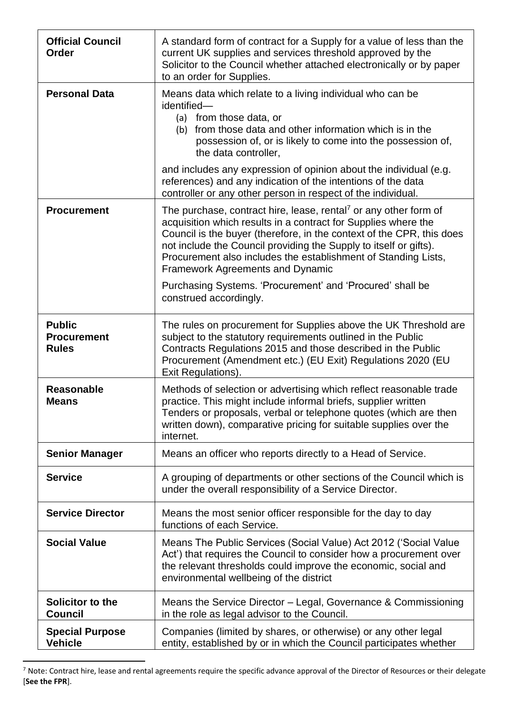| <b>Official Council</b><br><b>Order</b>             | A standard form of contract for a Supply for a value of less than the<br>current UK supplies and services threshold approved by the<br>Solicitor to the Council whether attached electronically or by paper<br>to an order for Supplies.                                                                                                                                                                  |
|-----------------------------------------------------|-----------------------------------------------------------------------------------------------------------------------------------------------------------------------------------------------------------------------------------------------------------------------------------------------------------------------------------------------------------------------------------------------------------|
| <b>Personal Data</b>                                | Means data which relate to a living individual who can be<br>identified-<br>(a) from those data, or<br>(b) from those data and other information which is in the<br>possession of, or is likely to come into the possession of,<br>the data controller,                                                                                                                                                   |
|                                                     | and includes any expression of opinion about the individual (e.g.<br>references) and any indication of the intentions of the data<br>controller or any other person in respect of the individual.                                                                                                                                                                                                         |
| <b>Procurement</b>                                  | The purchase, contract hire, lease, rental <sup>7</sup> or any other form of<br>acquisition which results in a contract for Supplies where the<br>Council is the buyer (therefore, in the context of the CPR, this does<br>not include the Council providing the Supply to itself or gifts).<br>Procurement also includes the establishment of Standing Lists,<br><b>Framework Agreements and Dynamic</b> |
|                                                     | Purchasing Systems. 'Procurement' and 'Procured' shall be<br>construed accordingly.                                                                                                                                                                                                                                                                                                                       |
| <b>Public</b><br><b>Procurement</b><br><b>Rules</b> | The rules on procurement for Supplies above the UK Threshold are<br>subject to the statutory requirements outlined in the Public<br>Contracts Regulations 2015 and those described in the Public<br>Procurement (Amendment etc.) (EU Exit) Regulations 2020 (EU<br>Exit Regulations).                                                                                                                     |
| <b>Reasonable</b><br><b>Means</b>                   | Methods of selection or advertising which reflect reasonable trade<br>practice. This might include informal briefs, supplier written<br>Tenders or proposals, verbal or telephone quotes (which are then<br>written down), comparative pricing for suitable supplies over the<br>internet.                                                                                                                |
| <b>Senior Manager</b>                               | Means an officer who reports directly to a Head of Service.                                                                                                                                                                                                                                                                                                                                               |
| <b>Service</b>                                      | A grouping of departments or other sections of the Council which is<br>under the overall responsibility of a Service Director.                                                                                                                                                                                                                                                                            |
| <b>Service Director</b>                             | Means the most senior officer responsible for the day to day<br>functions of each Service.                                                                                                                                                                                                                                                                                                                |
| <b>Social Value</b>                                 | Means The Public Services (Social Value) Act 2012 ('Social Value<br>Act') that requires the Council to consider how a procurement over<br>the relevant thresholds could improve the economic, social and<br>environmental wellbeing of the district                                                                                                                                                       |
| Solicitor to the<br><b>Council</b>                  | Means the Service Director – Legal, Governance & Commissioning<br>in the role as legal advisor to the Council.                                                                                                                                                                                                                                                                                            |
| <b>Special Purpose</b><br><b>Vehicle</b>            | Companies (limited by shares, or otherwise) or any other legal<br>entity, established by or in which the Council participates whether                                                                                                                                                                                                                                                                     |

 $^7$  Note: Contract hire, lease and rental agreements require the specific advance approval of the Director of Resources or their delegate [**See the FPR**].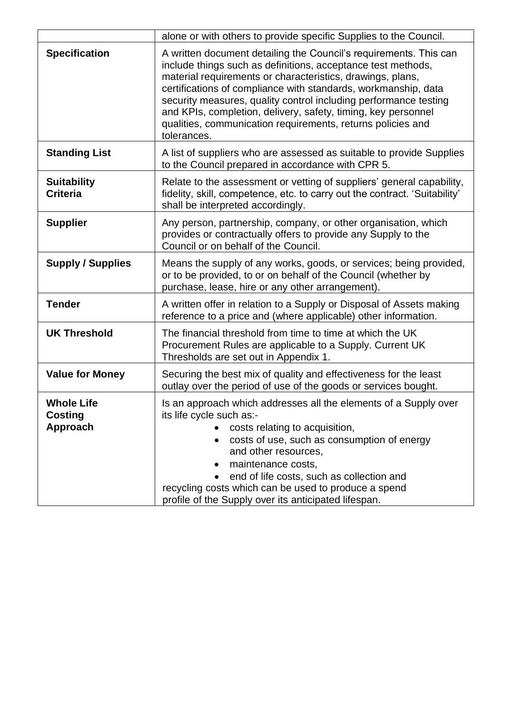|                                                 | alone or with others to provide specific Supplies to the Council.                                                                                                                                                                                                                                                                                                                                                                                                                    |
|-------------------------------------------------|--------------------------------------------------------------------------------------------------------------------------------------------------------------------------------------------------------------------------------------------------------------------------------------------------------------------------------------------------------------------------------------------------------------------------------------------------------------------------------------|
| <b>Specification</b>                            | A written document detailing the Council's requirements. This can<br>include things such as definitions, acceptance test methods,<br>material requirements or characteristics, drawings, plans,<br>certifications of compliance with standards, workmanship, data<br>security measures, quality control including performance testing<br>and KPIs, completion, delivery, safety, timing, key personnel<br>qualities, communication requirements, returns policies and<br>tolerances. |
| <b>Standing List</b>                            | A list of suppliers who are assessed as suitable to provide Supplies<br>to the Council prepared in accordance with CPR 5.                                                                                                                                                                                                                                                                                                                                                            |
| <b>Suitability</b><br><b>Criteria</b>           | Relate to the assessment or vetting of suppliers' general capability,<br>fidelity, skill, competence, etc. to carry out the contract. 'Suitability'<br>shall be interpreted accordingly.                                                                                                                                                                                                                                                                                             |
| <b>Supplier</b>                                 | Any person, partnership, company, or other organisation, which<br>provides or contractually offers to provide any Supply to the<br>Council or on behalf of the Council.                                                                                                                                                                                                                                                                                                              |
| <b>Supply / Supplies</b>                        | Means the supply of any works, goods, or services; being provided,<br>or to be provided, to or on behalf of the Council (whether by<br>purchase, lease, hire or any other arrangement).                                                                                                                                                                                                                                                                                              |
| <b>Tender</b>                                   | A written offer in relation to a Supply or Disposal of Assets making<br>reference to a price and (where applicable) other information.                                                                                                                                                                                                                                                                                                                                               |
| <b>UK Threshold</b>                             | The financial threshold from time to time at which the UK<br>Procurement Rules are applicable to a Supply. Current UK<br>Thresholds are set out in Appendix 1.                                                                                                                                                                                                                                                                                                                       |
| <b>Value for Money</b>                          | Securing the best mix of quality and effectiveness for the least<br>outlay over the period of use of the goods or services bought.                                                                                                                                                                                                                                                                                                                                                   |
| <b>Whole Life</b><br><b>Costing</b><br>Approach | Is an approach which addresses all the elements of a Supply over<br>its life cycle such as:-<br>costs relating to acquisition,<br>costs of use, such as consumption of energy<br>and other resources,<br>maintenance costs,<br>end of life costs, such as collection and<br>recycling costs which can be used to produce a spend<br>profile of the Supply over its anticipated lifespan.                                                                                             |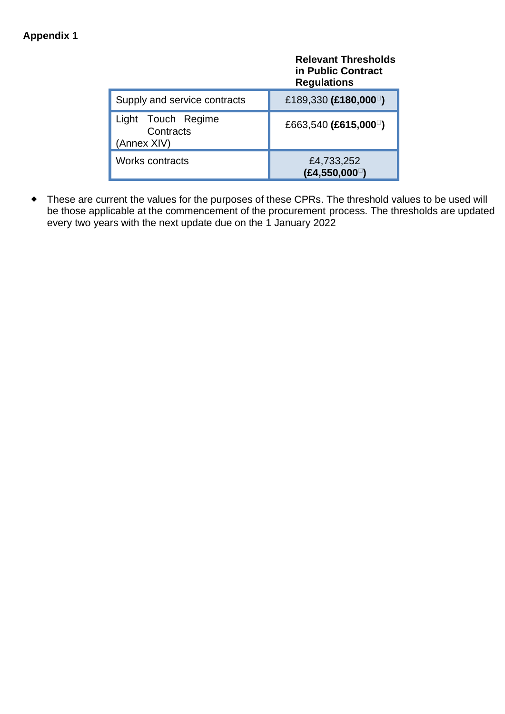# <span id="page-27-0"></span>**Appendix 1**

|                                                | <b>Relevant Thresholds</b><br>in Public Contract<br><b>Regulations</b> |
|------------------------------------------------|------------------------------------------------------------------------|
| Supply and service contracts                   | £189,330 (£180,000 <sup><math>\Box</math></sup> )                      |
| Light Touch Regime<br>Contracts<br>(Annex XIV) | £663,540 (£615,000 <sup><math>\Box</math></sup> )                      |
| <b>Works contracts</b>                         | £4,733,252<br>(E4, 550, 000)                                           |

 These are current the values for the purposes of these CPRs. The threshold values to be used will be those applicable at the commencement of the procurement process. The thresholds are updated every two years with the next update due on the 1 January 2022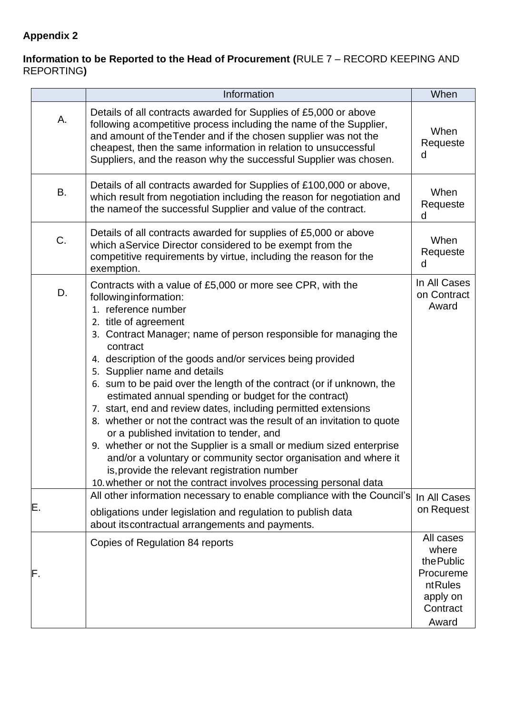# <span id="page-28-0"></span>**Appendix 2**

#### **Information to be Reported to the Head of Procurement (**RULE 7 – RECORD KEEPING AND REPORTING**)**

|    | Information                                                                                                                                                                                                                                                                                                                                                                                                                                                                                                                                                                                                                                                                                                                                                                                                                                                                                                    | When                                                                                      |
|----|----------------------------------------------------------------------------------------------------------------------------------------------------------------------------------------------------------------------------------------------------------------------------------------------------------------------------------------------------------------------------------------------------------------------------------------------------------------------------------------------------------------------------------------------------------------------------------------------------------------------------------------------------------------------------------------------------------------------------------------------------------------------------------------------------------------------------------------------------------------------------------------------------------------|-------------------------------------------------------------------------------------------|
| А. | Details of all contracts awarded for Supplies of £5,000 or above<br>following acompetitive process including the name of the Supplier,<br>and amount of the Tender and if the chosen supplier was not the<br>cheapest, then the same information in relation to unsuccessful<br>Suppliers, and the reason why the successful Supplier was chosen.                                                                                                                                                                                                                                                                                                                                                                                                                                                                                                                                                              | When<br>Requeste<br>d                                                                     |
| B. | Details of all contracts awarded for Supplies of £100,000 or above,<br>which result from negotiation including the reason for negotiation and<br>the name of the successful Supplier and value of the contract.                                                                                                                                                                                                                                                                                                                                                                                                                                                                                                                                                                                                                                                                                                | When<br>Requeste<br>d                                                                     |
| C. | Details of all contracts awarded for supplies of £5,000 or above<br>which a Service Director considered to be exempt from the<br>competitive requirements by virtue, including the reason for the<br>exemption.                                                                                                                                                                                                                                                                                                                                                                                                                                                                                                                                                                                                                                                                                                | When<br>Requeste<br>d                                                                     |
| D. | Contracts with a value of £5,000 or more see CPR, with the<br>following information:<br>1. reference number<br>2. title of agreement<br>3. Contract Manager; name of person responsible for managing the<br>contract<br>4. description of the goods and/or services being provided<br>5. Supplier name and details<br>6. sum to be paid over the length of the contract (or if unknown, the<br>estimated annual spending or budget for the contract)<br>7. start, end and review dates, including permitted extensions<br>8. whether or not the contract was the result of an invitation to quote<br>or a published invitation to tender, and<br>9. whether or not the Supplier is a small or medium sized enterprise<br>and/or a voluntary or community sector organisation and where it<br>is, provide the relevant registration number<br>10. whether or not the contract involves processing personal data | In All Cases<br>on Contract<br>Award                                                      |
| Ε. | All other information necessary to enable compliance with the Council's<br>obligations under legislation and regulation to publish data<br>about its contractual arrangements and payments.                                                                                                                                                                                                                                                                                                                                                                                                                                                                                                                                                                                                                                                                                                                    | In All Cases<br>on Request                                                                |
| F. | Copies of Regulation 84 reports                                                                                                                                                                                                                                                                                                                                                                                                                                                                                                                                                                                                                                                                                                                                                                                                                                                                                | All cases<br>where<br>the Public<br>Procureme<br>ntRules<br>apply on<br>Contract<br>Award |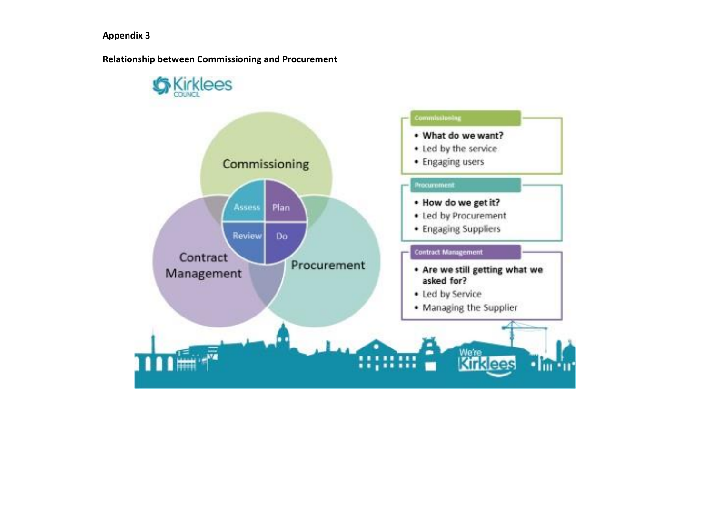**Relationship between Commissioning and Procurement**

<span id="page-29-0"></span>